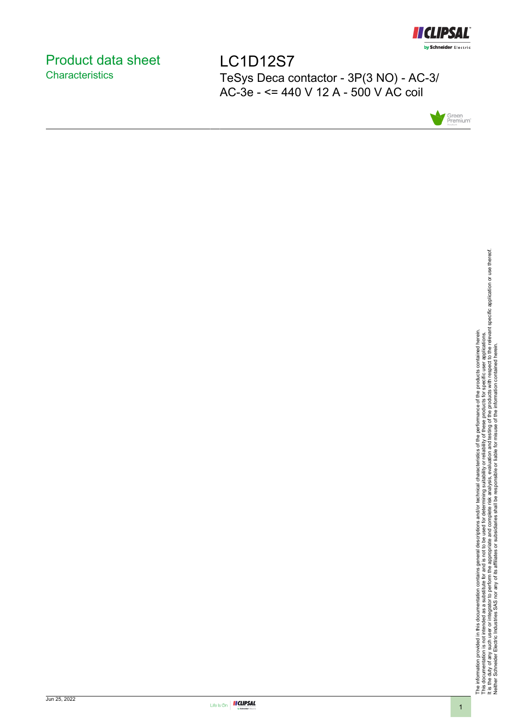

## <span id="page-0-0"></span>Product data sheet **Characteristics**

LC1D12S7 TeSys Deca contactor - 3P(3 NO) - AC-3/ AC-3e - <= 440 V 12 A - 500 V AC coil



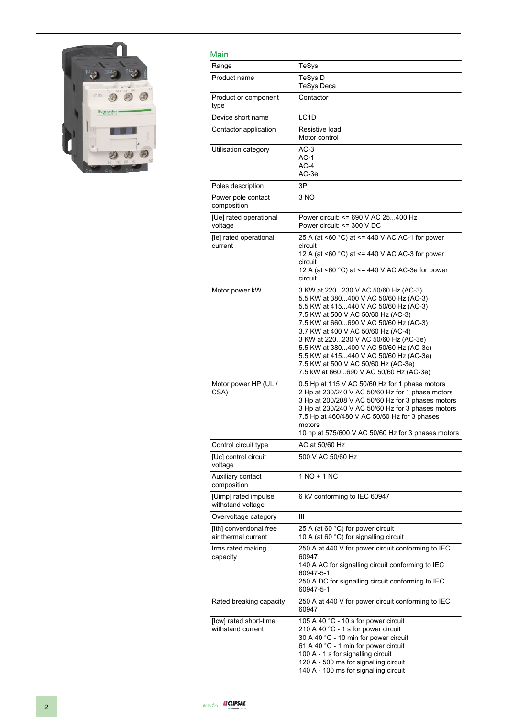

### Main

| Main                                           |                                                                                                                                                                                                                                                                                                                                                                                                                                                         |
|------------------------------------------------|---------------------------------------------------------------------------------------------------------------------------------------------------------------------------------------------------------------------------------------------------------------------------------------------------------------------------------------------------------------------------------------------------------------------------------------------------------|
| Range                                          | TeSys                                                                                                                                                                                                                                                                                                                                                                                                                                                   |
| Product name                                   | TeSys D<br><b>TeSys Deca</b>                                                                                                                                                                                                                                                                                                                                                                                                                            |
| Product or component<br>type                   | Contactor                                                                                                                                                                                                                                                                                                                                                                                                                                               |
| Device short name                              | LC <sub>1</sub> D                                                                                                                                                                                                                                                                                                                                                                                                                                       |
| Contactor application                          | Resistive load<br>Motor control                                                                                                                                                                                                                                                                                                                                                                                                                         |
| Utilisation category                           | $AC-3$<br>AC-1<br>$AC-4$<br>AC-3e                                                                                                                                                                                                                                                                                                                                                                                                                       |
| Poles description                              | 3P                                                                                                                                                                                                                                                                                                                                                                                                                                                      |
| Power pole contact<br>composition              | 3 NO                                                                                                                                                                                                                                                                                                                                                                                                                                                    |
| [Ue] rated operational<br>voltage              | Power circuit: <= 690 V AC 25400 Hz<br>Power circuit: <= 300 V DC                                                                                                                                                                                                                                                                                                                                                                                       |
| [le] rated operational<br>current              | 25 A (at <60 °C) at <= 440 V AC AC-1 for power<br>circuit<br>12 A (at $\leq 60$ °C) at $\leq$ 440 V AC AC-3 for power<br>circuit<br>12 A (at <60 °C) at <= 440 V AC AC-3e for power<br>circuit                                                                                                                                                                                                                                                          |
| Motor power kW                                 | 3 KW at 220230 V AC 50/60 Hz (AC-3)<br>5.5 KW at 380400 V AC 50/60 Hz (AC-3)<br>5.5 KW at 415440 V AC 50/60 Hz (AC-3)<br>7.5 KW at 500 V AC 50/60 Hz (AC-3)<br>7.5 KW at 660690 V AC 50/60 Hz (AC-3)<br>3.7 KW at 400 V AC 50/60 Hz (AC-4)<br>3 KW at 220230 V AC 50/60 Hz (AC-3e)<br>5.5 KW at 380400 V AC 50/60 Hz (AC-3e)<br>5.5 KW at 415440 V AC 50/60 Hz (AC-3e)<br>7.5 KW at 500 V AC 50/60 Hz (AC-3e)<br>7.5 kW at 660690 V AC 50/60 Hz (AC-3e) |
| Motor power HP (UL /<br>CSA)                   | 0.5 Hp at 115 V AC 50/60 Hz for 1 phase motors<br>2 Hp at 230/240 V AC 50/60 Hz for 1 phase motors<br>3 Hp at 200/208 V AC 50/60 Hz for 3 phases motors<br>3 Hp at 230/240 V AC 50/60 Hz for 3 phases motors<br>7.5 Hp at 460/480 V AC 50/60 Hz for 3 phases<br>motors<br>10 hp at 575/600 V AC 50/60 Hz for 3 phases motors                                                                                                                            |
| Control circuit type                           | AC at 50/60 Hz                                                                                                                                                                                                                                                                                                                                                                                                                                          |
| [Uc] control circuit<br>voltage                | 500 V AC 50/60 Hz                                                                                                                                                                                                                                                                                                                                                                                                                                       |
| Auxiliary contact<br>composition               | $1 NQ + 1 NC$                                                                                                                                                                                                                                                                                                                                                                                                                                           |
| [Uimp] rated impulse<br>withstand voltage      | 6 kV conforming to IEC 60947                                                                                                                                                                                                                                                                                                                                                                                                                            |
| Overvoltage category                           | Ш                                                                                                                                                                                                                                                                                                                                                                                                                                                       |
| [Ith] conventional free<br>air thermal current | 25 A (at 60 °C) for power circuit<br>10 A (at 60 °C) for signalling circuit                                                                                                                                                                                                                                                                                                                                                                             |
| Irms rated making<br>capacity                  | 250 A at 440 V for power circuit conforming to IEC<br>60947<br>140 A AC for signalling circuit conforming to IEC<br>60947-5-1<br>250 A DC for signalling circuit conforming to IEC<br>60947-5-1                                                                                                                                                                                                                                                         |
| Rated breaking capacity                        | 250 A at 440 V for power circuit conforming to IEC<br>60947                                                                                                                                                                                                                                                                                                                                                                                             |
| [Icw] rated short-time<br>withstand current    | 105 A 40 °C - 10 s for power circuit<br>210 A 40 °C - 1 s for power circuit<br>30 A 40 °C - 10 min for power circuit<br>61 A 40 °C - 1 min for power circuit<br>100 A - 1 s for signalling circuit<br>120 A - 500 ms for signalling circuit<br>140 A - 100 ms for signalling circuit                                                                                                                                                                    |

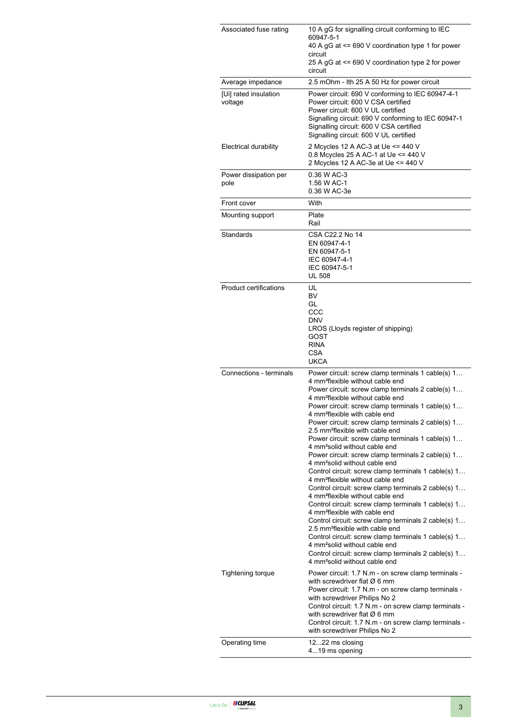| Associated fuse rating<br>Average impedance | 10 A gG for signalling circuit conforming to IEC<br>60947-5-1<br>40 A gG at <= 690 V coordination type 1 for power<br>circuit<br>25 A gG at <= 690 V coordination type 2 for power<br>circuit<br>2.5 mOhm - Ith 25 A 50 Hz for power circuit                                                                                                                                                                                                                                                                                                                                                                                                                                                                                                                                                                                                                                                                                                                                                                                                                                                                                                                                                                                                     |
|---------------------------------------------|--------------------------------------------------------------------------------------------------------------------------------------------------------------------------------------------------------------------------------------------------------------------------------------------------------------------------------------------------------------------------------------------------------------------------------------------------------------------------------------------------------------------------------------------------------------------------------------------------------------------------------------------------------------------------------------------------------------------------------------------------------------------------------------------------------------------------------------------------------------------------------------------------------------------------------------------------------------------------------------------------------------------------------------------------------------------------------------------------------------------------------------------------------------------------------------------------------------------------------------------------|
| [Ui] rated insulation<br>voltage            | Power circuit: 690 V conforming to IEC 60947-4-1<br>Power circuit: 600 V CSA certified<br>Power circuit: 600 V UL certified<br>Signalling circuit: 690 V conforming to IEC 60947-1<br>Signalling circuit: 600 V CSA certified<br>Signalling circuit: 600 V UL certified                                                                                                                                                                                                                                                                                                                                                                                                                                                                                                                                                                                                                                                                                                                                                                                                                                                                                                                                                                          |
| Electrical durability                       | 2 Mcycles 12 A AC-3 at Ue <= 440 V<br>0.8 Mcycles 25 A AC-1 at Ue <= 440 V<br>2 Mcycles 12 A AC-3e at Ue <= 440 V                                                                                                                                                                                                                                                                                                                                                                                                                                                                                                                                                                                                                                                                                                                                                                                                                                                                                                                                                                                                                                                                                                                                |
| Power dissipation per<br>pole               | 0.36 W AC-3<br>1.56 W AC-1<br>0.36 W AC-3e                                                                                                                                                                                                                                                                                                                                                                                                                                                                                                                                                                                                                                                                                                                                                                                                                                                                                                                                                                                                                                                                                                                                                                                                       |
| Front cover                                 | With                                                                                                                                                                                                                                                                                                                                                                                                                                                                                                                                                                                                                                                                                                                                                                                                                                                                                                                                                                                                                                                                                                                                                                                                                                             |
| Mounting support                            | Plate<br>Rail                                                                                                                                                                                                                                                                                                                                                                                                                                                                                                                                                                                                                                                                                                                                                                                                                                                                                                                                                                                                                                                                                                                                                                                                                                    |
| Standards                                   | CSA C22.2 No 14<br>EN 60947-4-1<br>EN 60947-5-1<br>IEC 60947-4-1<br>IEC 60947-5-1<br><b>UL 508</b>                                                                                                                                                                                                                                                                                                                                                                                                                                                                                                                                                                                                                                                                                                                                                                                                                                                                                                                                                                                                                                                                                                                                               |
| <b>Product certifications</b>               | UL<br>BV<br>GL<br>CCC<br><b>DNV</b><br>LROS (Lloyds register of shipping)<br>GOST<br><b>RINA</b><br>CSA<br><b>UKCA</b>                                                                                                                                                                                                                                                                                                                                                                                                                                                                                                                                                                                                                                                                                                                                                                                                                                                                                                                                                                                                                                                                                                                           |
| Connections - terminals                     | Power circuit: screw clamp terminals 1 cable(s) 1<br>4 mm <sup>2</sup> flexible without cable end<br>Power circuit: screw clamp terminals 2 cable(s) 1<br>4 mm <sup>2</sup> flexible without cable end<br>Power circuit: screw clamp terminals 1 cable(s) 1<br>4 mm <sup>2</sup> flexible with cable end<br>Power circuit: screw clamp terminals 2 cable(s) 1<br>2.5 mm <sup>2</sup> flexible with cable end<br>Power circuit: screw clamp terminals 1 cable(s) 1<br>4 mm <sup>2</sup> solid without cable end<br>Power circuit: screw clamp terminals 2 cable(s) 1<br>4 mm <sup>2</sup> solid without cable end<br>Control circuit: screw clamp terminals 1 cable(s) 1<br>4 mm <sup>2</sup> flexible without cable end<br>Control circuit: screw clamp terminals 2 cable(s) 1<br>4 mm <sup>2</sup> flexible without cable end<br>Control circuit: screw clamp terminals 1 cable(s) 1<br>4 mm <sup>2</sup> flexible with cable end<br>Control circuit: screw clamp terminals 2 cable(s) 1<br>2.5 mm <sup>2</sup> flexible with cable end<br>Control circuit: screw clamp terminals 1 cable(s) 1<br>4 mm <sup>2</sup> solid without cable end<br>Control circuit: screw clamp terminals 2 cable(s) 1<br>4 mm <sup>2</sup> solid without cable end |
| Tightening torque                           | Power circuit: 1.7 N.m - on screw clamp terminals -<br>with screwdriver flat $\varnothing$ 6 mm<br>Power circuit: 1.7 N.m - on screw clamp terminals -<br>with screwdriver Philips No 2<br>Control circuit: 1.7 N.m - on screw clamp terminals -<br>with screwdriver flat $\varnothing$ 6 mm<br>Control circuit: 1.7 N.m - on screw clamp terminals -<br>with screwdriver Philips No 2                                                                                                                                                                                                                                                                                                                                                                                                                                                                                                                                                                                                                                                                                                                                                                                                                                                           |
| Operating time                              | 1222 ms closing<br>419 ms opening                                                                                                                                                                                                                                                                                                                                                                                                                                                                                                                                                                                                                                                                                                                                                                                                                                                                                                                                                                                                                                                                                                                                                                                                                |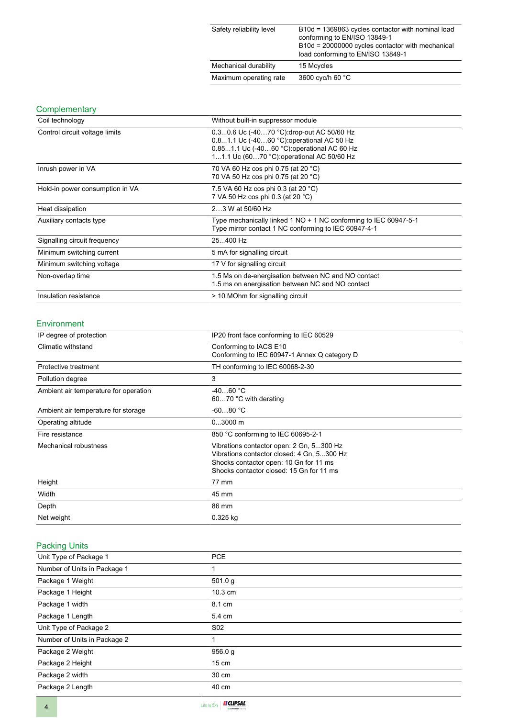| Safety reliability level | B10d = 1369863 cycles contactor with nominal load<br>conforming to EN/ISO 13849-1<br>B10d = 20000000 cycles contactor with mechanical<br>load conforming to EN/ISO 13849-1 |
|--------------------------|----------------------------------------------------------------------------------------------------------------------------------------------------------------------------|
| Mechanical durability    | 15 Mcycles                                                                                                                                                                 |
| Maximum operating rate   | 3600 cyc/h 60 °C                                                                                                                                                           |

#### **Complementary**

| Coil technology                 | Without built-in suppressor module                                                                                                                                                   |
|---------------------------------|--------------------------------------------------------------------------------------------------------------------------------------------------------------------------------------|
| Control circuit voltage limits  | 0.30.6 Uc (-4070 °C): drop-out AC 50/60 Hz<br>0.81.1 Uc (-4060 °C): operational AC 50 Hz<br>0.851.1 Uc (-4060 °C) operational AC 60 Hz<br>11.1 Uc (6070 °C): operational AC 50/60 Hz |
| Inrush power in VA              | 70 VA 60 Hz cos phi 0.75 (at 20 °C)<br>70 VA 50 Hz cos phi 0.75 (at 20 °C)                                                                                                           |
| Hold-in power consumption in VA | 7.5 VA 60 Hz cos phi 0.3 (at 20 °C)<br>7 VA 50 Hz cos phi 0.3 (at 20 °C)                                                                                                             |
| Heat dissipation                | 23 W at 50/60 Hz                                                                                                                                                                     |
| Auxiliary contacts type         | Type mechanically linked 1 NO + 1 NC conforming to IEC 60947-5-1<br>Type mirror contact 1 NC conforming to IEC 60947-4-1                                                             |
| Signalling circuit frequency    | 25400 Hz                                                                                                                                                                             |
| Minimum switching current       | 5 mA for signalling circuit                                                                                                                                                          |
| Minimum switching voltage       | 17 V for signalling circuit                                                                                                                                                          |
| Non-overlap time                | 1.5 Ms on de-energisation between NC and NO contact<br>1.5 ms on energisation between NC and NO contact                                                                              |
| Insulation resistance           | > 10 MOhm for signalling circuit                                                                                                                                                     |

#### Environment

| IP degree of protection               | IP20 front face conforming to IEC 60529                                                                                                                                      |
|---------------------------------------|------------------------------------------------------------------------------------------------------------------------------------------------------------------------------|
| Climatic withstand                    | Conforming to IACS E10<br>Conforming to IEC 60947-1 Annex Q category D                                                                                                       |
| Protective treatment                  | TH conforming to IEC 60068-2-30                                                                                                                                              |
| Pollution degree                      | 3                                                                                                                                                                            |
| Ambient air temperature for operation | $-4060 °C$<br>6070 °C with derating                                                                                                                                          |
| Ambient air temperature for storage   | $-6080 °C$                                                                                                                                                                   |
| Operating altitude                    | $03000$ m                                                                                                                                                                    |
| Fire resistance                       | 850 °C conforming to IEC 60695-2-1                                                                                                                                           |
| Mechanical robustness                 | Vibrations contactor open: 2 Gn, 5300 Hz<br>Vibrations contactor closed: 4 Gn, 5300 Hz<br>Shocks contactor open: 10 Gn for 11 ms<br>Shocks contactor closed: 15 Gn for 11 ms |
| Height                                | 77 mm                                                                                                                                                                        |
| Width                                 | 45 mm                                                                                                                                                                        |
| Depth                                 | 86 mm                                                                                                                                                                        |
| Net weight                            | $0.325$ kg                                                                                                                                                                   |

#### Packing Units

| Unit Type of Package 1       | <b>PCE</b>      |  |
|------------------------------|-----------------|--|
| Number of Units in Package 1 | 1               |  |
| Package 1 Weight             | 501.0 g         |  |
| Package 1 Height             | 10.3 cm         |  |
| Package 1 width              | 8.1 cm          |  |
| Package 1 Length             | 5.4 cm          |  |
| Unit Type of Package 2       | S <sub>02</sub> |  |
| Number of Units in Package 2 | 1               |  |
| Package 2 Weight             | 956.0 g         |  |
| Package 2 Height             | $15 \text{ cm}$ |  |
| Package 2 width              | 30 cm           |  |
| Package 2 Length             | 40 cm           |  |